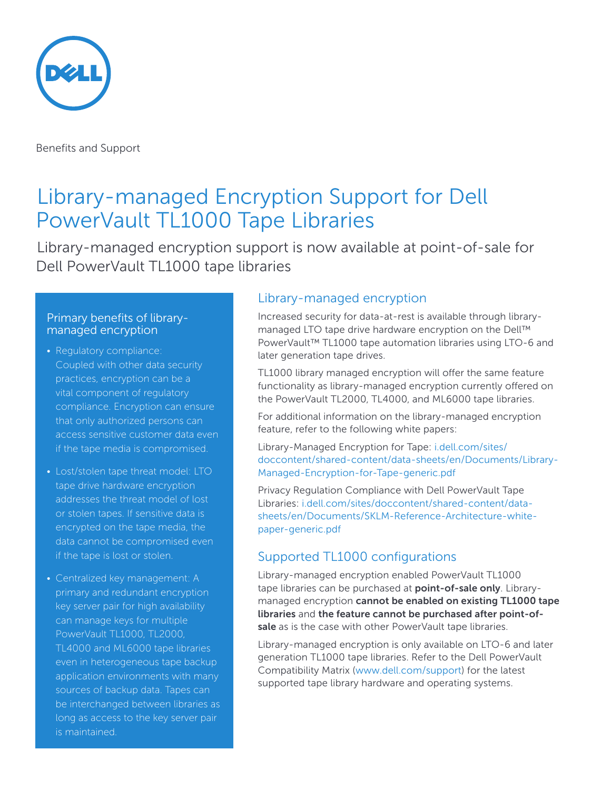

Benefits and Support

# Library-managed Encryption Support for Dell PowerVault TL1000 Tape Libraries

Library-managed encryption support is now available at point-of-sale for Dell PowerVault TL1000 tape libraries

#### Primary benefits of librarymanaged encryption

- Regulatory compliance: Coupled with other data security practices, encryption can be a vital component of regulatory compliance. Encryption can ensure that only authorized persons can access sensitive customer data even if the tape media is compromised.
- Lost/stolen tape threat model: LTO tape drive hardware encryption addresses the threat model of lost or stolen tapes. If sensitive data is encrypted on the tape media, the data cannot be compromised even if the tape is lost or stolen.
- Centralized key management: A primary and redundant encryption key server pair for high availability can manage keys for multiple PowerVault TL1000, TL2000, TL4000 and ML6000 tape libraries even in heterogeneous tape backup application environments with many sources of backup data. Tapes can be interchanged between libraries as long as access to the key server pair is maintained.

### Library-managed encryption

Increased security for data-at-rest is available through librarymanaged LTO tape drive hardware encryption on the Dell™ PowerVault™ TL1000 tape automation libraries using LTO-6 and later generation tape drives.

TL1000 library managed encryption will offer the same feature functionality as library-managed encryption currently offered on the PowerVault TL2000, TL4000, and ML6000 tape libraries.

For additional information on the library-managed encryption feature, refer to the following white papers:

Library-Managed Encryption for Tape: [i.dell.com/sites/](http://i.dell.com/sites/doccontent/shared-content/data-sheets/en/Documents/Library-Managed-Encryption-for-Tape-generic.pdf) [doccontent/shared-content/data-sheets/en/Documents/Library-](http://i.dell.com/sites/doccontent/shared-content/data-sheets/en/Documents/Library-Managed-Encryption-for-Tape-generic.pdf)[Managed-Encryption-for-Tape-generic.pdf](http://i.dell.com/sites/doccontent/shared-content/data-sheets/en/Documents/Library-Managed-Encryption-for-Tape-generic.pdf)

Privacy Regulation Compliance with Dell PowerVault Tape Libraries: [i.dell.com/sites/doccontent/shared-content/data](http://i.dell.com/sites/doccontent/shared-content/data-sheets/en/Documents/SKLM-Reference-Architecture-white-paper-generic.pdf)[sheets/en/Documents/SKLM-Reference-Architecture-white](http://i.dell.com/sites/doccontent/shared-content/data-sheets/en/Documents/SKLM-Reference-Architecture-white-paper-generic.pdf)[paper-generic.pdf](http://i.dell.com/sites/doccontent/shared-content/data-sheets/en/Documents/SKLM-Reference-Architecture-white-paper-generic.pdf) 

# Supported TL1000 configurations

Library-managed encryption enabled PowerVault TL1000 tape libraries can be purchased at **point-of-sale only**. Librarymanaged encryption **cannot be enabled on existing TL1000 tape libraries** and **the feature cannot be purchased after point-ofsale** as is the case with other PowerVault tape libraries.

Library-managed encryption is only available on LTO-6 and later generation TL1000 tape libraries. Refer to the Dell PowerVault Compatibility Matrix [\(www.dell.com/support\)](http://www.dell.com/support) for the latest supported tape library hardware and operating systems.